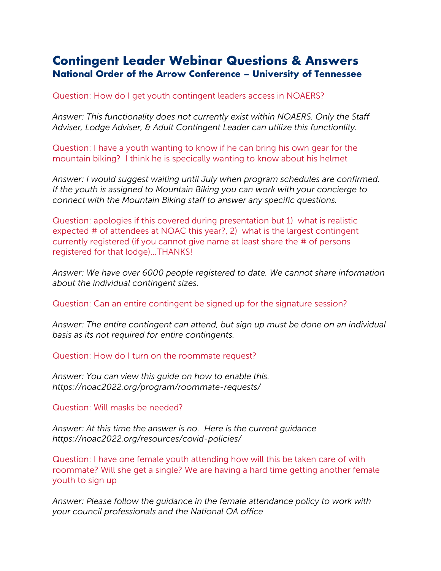# **Contingent Leader Webinar Questions & Answers National Order of the Arrow Conference – University of Tennessee**

Question: How do I get youth contingent leaders access in NOAERS?

*Answer: This functionality does not currently exist within NOAERS. Only the Staff Adviser, Lodge Adviser, & Adult Contingent Leader can utilize this functionlity.*

Question: I have a youth wanting to know if he can bring his own gear for the mountain biking? I think he is specically wanting to know about his helmet

*Answer: I would suggest waiting until July when program schedules are confirmed. If the youth is assigned to Mountain Biking you can work with your concierge to connect with the Mountain Biking staff to answer any specific questions.*

Question: apologies if this covered during presentation but 1) what is realistic expected # of attendees at NOAC this year?, 2) what is the largest contingent currently registered (if you cannot give name at least share the # of persons registered for that lodge)...THANKS!

*Answer: We have over 6000 people registered to date. We cannot share information about the individual contingent sizes.*

Question: Can an entire contingent be signed up for the signature session?

*Answer: The entire contingent can attend, but sign up must be done on an individual basis as its not required for entire contingents.*

Question: How do I turn on the roommate request?

*Answer: You can view this guide on how to enable this. https://noac2022.org/program/roommate-requests/*

Question: Will masks be needed?

*Answer: At this time the answer is no. Here is the current guidance https://noac2022.org/resources/covid-policies/*

Question: I have one female youth attending how will this be taken care of with roommate? Will she get a single? We are having a hard time getting another female youth to sign up

*Answer: Please follow the guidance in the female attendance policy to work with your council professionals and the National OA office*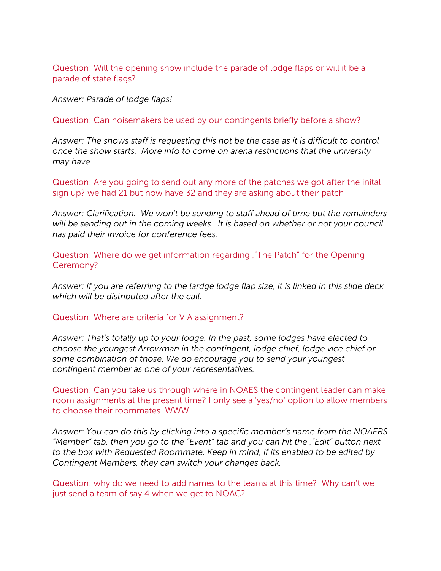Question: Will the opening show include the parade of lodge flaps or will it be a parade of state flags?

*Answer: Parade of lodge flaps!*

Question: Can noisemakers be used by our contingents briefly before a show?

*Answer: The shows staff is requesting this not be the case as it is difficult to control once the show starts. More info to come on arena restrictions that the university may have*

Question: Are you going to send out any more of the patches we got after the inital sign up? we had 21 but now have 32 and they are asking about their patch

*Answer: Clarification. We won't be sending to staff ahead of time but the remainders will be sending out in the coming weeks. It is based on whether or not your council has paid their invoice for conference fees.*

Question: Where do we get information regarding '"The Patch" for the Opening Ceremony?

*Answer: If you are referriing to the lardge lodge flap size, it is linked in this slide deck which will be distributed after the call.*

Question: Where are criteria for VIA assignment?

*Answer: That's totally up to your lodge. In the past, some lodges have elected to choose the youngest Arrowman in the contingent, lodge chief, lodge vice chief or some combination of those. We do encourage you to send your youngest contingent member as one of your representatives.*

Question: Can you take us through where in NOAES the contingent leader can make room assignments at the present time? I only see a 'yes/no' option to allow members to choose their roommates. WWW

*Answer: You can do this by clicking into a specific member's name from the NOAERS "Member" tab, then you go to the "Event" tab and you can hit the '"Edit" button next to the box with Requested Roommate. Keep in mind, if its enabled to be edited by Contingent Members, they can switch your changes back.*

Question: why do we need to add names to the teams at this time? Why can't we just send a team of say 4 when we get to NOAC?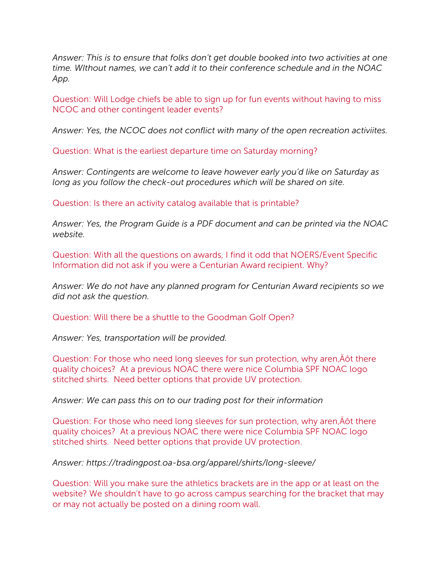*Answer: This is to ensure that folks don't get double booked into two activities at one time. WIthout names, we can't add it to their conference schedule and in the NOAC App.*

Question: Will Lodge chiefs be able to sign up for fun events without having to miss NCOC and other contingent leader events?

*Answer: Yes, the NCOC does not conflict with many of the open recreation activiites.*

Question: What is the earliest departure time on Saturday morning?

*Answer: Contingents are welcome to leave however early you'd like on Saturday as long as you follow the check-out procedures which will be shared on site.*

Question: Is there an activity catalog available that is printable?

*Answer: Yes, the Program Guide is a PDF document and can be printed via the NOAC website.*

Question: With all the questions on awards, I find it odd that NOERS/Event Specific Information did not ask if you were a Centurian Award recipient. Why?

*Answer: We do not have any planned program for Centurian Award recipients so we did not ask the question.*

Question: Will there be a shuttle to the Goodman Golf Open?

*Answer: Yes, transportation will be provided.*

Question: For those who need long sleeves for sun protection, why aren, Angot there quality choices? At a previous NOAC there were nice Columbia SPF NOAC logo stitched shirts. Need better options that provide UV protection.

*Answer: We can pass this on to our trading post for their information*

Question: For those who need long sleeves for sun protection, why aren, Anti there quality choices? At a previous NOAC there were nice Columbia SPF NOAC logo stitched shirts. Need better options that provide UV protection.

*Answer: https://tradingpost.oa-bsa.org/apparel/shirts/long-sleeve/*

Question: Will you make sure the athletics brackets are in the app or at least on the website? We shouldn't have to go across campus searching for the bracket that may or may not actually be posted on a dining room wall.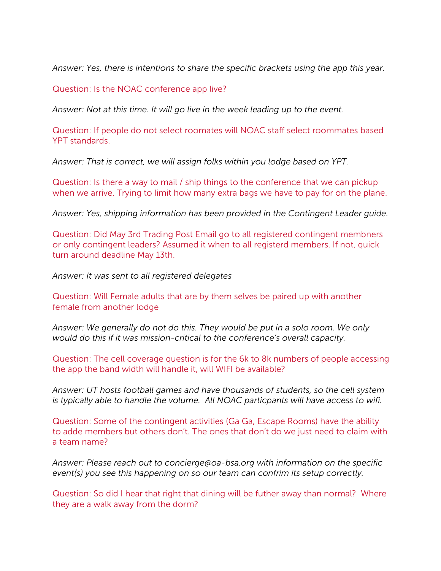*Answer: Yes, there is intentions to share the specific brackets using the app this year.*

Question: Is the NOAC conference app live?

*Answer: Not at this time. It will go live in the week leading up to the event.*

Question: If people do not select roomates will NOAC staff select roommates based YPT standards.

*Answer: That is correct, we will assign folks within you lodge based on YPT.*

Question: Is there a way to mail / ship things to the conference that we can pickup when we arrive. Trying to limit how many extra bags we have to pay for on the plane.

*Answer: Yes, shipping information has been provided in the Contingent Leader guide.*

Question: Did May 3rd Trading Post Email go to all registered contingent membners or only contingent leaders? Assumed it when to all registerd members. If not, quick turn around deadline May 13th.

*Answer: It was sent to all registered delegates*

Question: Will Female adults that are by them selves be paired up with another female from another lodge

*Answer: We generally do not do this. They would be put in a solo room. We only would do this if it was mission-critical to the conference's overall capacity.*

Question: The cell coverage question is for the 6k to 8k numbers of people accessing the app the band width will handle it, will WIFI be available?

*Answer: UT hosts football games and have thousands of students, so the cell system is typically able to handle the volume. All NOAC particpants will have access to wifi.*

Question: Some of the contingent activities (Ga Ga, Escape Rooms) have the ability to adde members but others don't. The ones that don't do we just need to claim with a team name?

*Answer: Please reach out to concierge@oa-bsa.org with information on the specific event(s) you see this happening on so our team can confrim its setup correctly.*

Question: So did I hear that right that dining will be futher away than normal? Where they are a walk away from the dorm?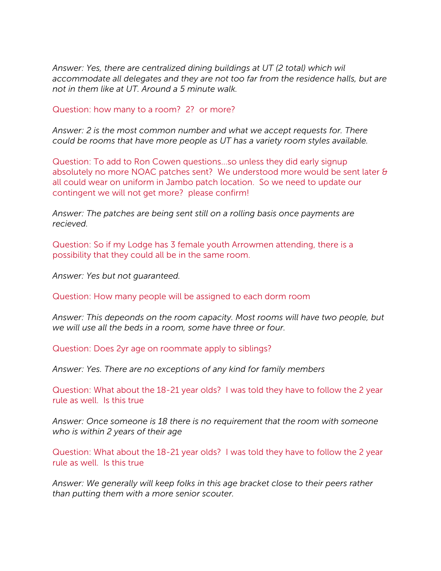*Answer: Yes, there are centralized dining buildings at UT (2 total) which wil accommodate all delegates and they are not too far from the residence halls, but are not in them like at UT. Around a 5 minute walk.*

Question: how many to a room? 2? or more?

*Answer: 2 is the most common number and what we accept requests for. There could be rooms that have more people as UT has a variety room styles available.*

Question: To add to Ron Cowen questions...so unless they did early signup absolutely no more NOAC patches sent? We understood more would be sent later & all could wear on uniform in Jambo patch location. So we need to update our contingent we will not get more? please confirm!

*Answer: The patches are being sent still on a rolling basis once payments are recieved.*

Question: So if my Lodge has 3 female youth Arrowmen attending, there is a possibility that they could all be in the same room.

*Answer: Yes but not guaranteed.*

Question: How many people will be assigned to each dorm room

*Answer: This depeonds on the room capacity. Most rooms will have two people, but we will use all the beds in a room, some have three or four.*

Question: Does 2yr age on roommate apply to siblings?

*Answer: Yes. There are no exceptions of any kind for family members*

Question: What about the 18-21 year olds? I was told they have to follow the 2 year rule as well. Is this true

*Answer: Once someone is 18 there is no requirement that the room with someone who is within 2 years of their age*

Question: What about the 18-21 year olds? I was told they have to follow the 2 year rule as well. Is this true

*Answer: We generally will keep folks in this age bracket close to their peers rather than putting them with a more senior scouter.*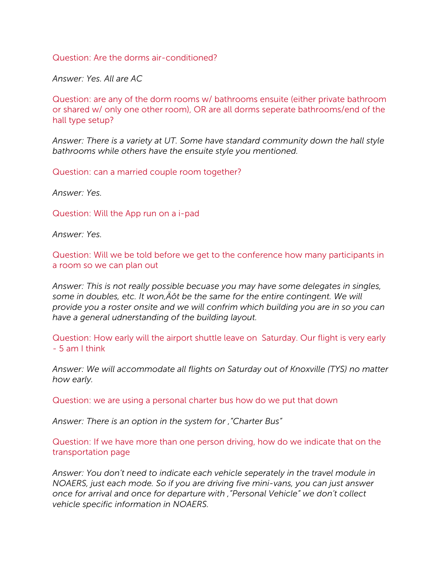Question: Are the dorms air-conditioned?

*Answer: Yes. All are AC*

Question: are any of the dorm rooms w/ bathrooms ensuite (either private bathroom or shared w/ only one other room), OR are all dorms seperate bathrooms/end of the hall type setup?

*Answer: There is a variety at UT. Some have standard community down the hall style bathrooms while others have the ensuite style you mentioned.*

Question: can a married couple room together?

*Answer: Yes.*

Question: Will the App run on a i-pad

*Answer: Yes.*

Question: Will we be told before we get to the conference how many participants in a room so we can plan out

*Answer: This is not really possible becuase you may have some delegates in singles,*  some in doubles, etc. It won,  $\hat{A} \hat{O}$ t be the same for the entire contingent. We will *provide you a roster onsite and we will confrim which building you are in so you can have a general udnerstanding of the building layout.*

Question: How early will the airport shuttle leave on Saturday. Our flight is very early - 5 am I think

*Answer: We will accommodate all flights on Saturday out of Knoxville (TYS) no matter how early.*

Question: we are using a personal charter bus how do we put that down

*Answer: There is an option in the system for '"Charter Bus"*

Question: If we have more than one person driving, how do we indicate that on the transportation page

*Answer: You don't need to indicate each vehicle seperately in the travel module in NOAERS, just each mode. So if you are driving five mini-vans, you can just answer once for arrival and once for departure with '"Personal Vehicle" we don't collect vehicle specific information in NOAERS.*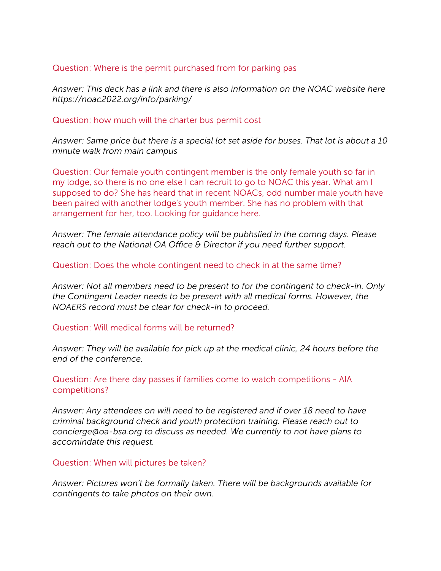## Question: Where is the permit purchased from for parking pas

*Answer: This deck has a link and there is also information on the NOAC website here https://noac2022.org/info/parking/*

#### Question: how much will the charter bus permit cost

*Answer: Same price but there is a special lot set aside for buses. That lot is about a 10 minute walk from main campus*

Question: Our female youth contingent member is the only female youth so far in my lodge, so there is no one else I can recruit to go to NOAC this year. What am I supposed to do? She has heard that in recent NOACs, odd number male youth have been paired with another lodge's youth member. She has no problem with that arrangement for her, too. Looking for guidance here.

*Answer: The female attendance policy will be pubhslied in the comng days. Please reach out to the National OA Office & Director if you need further support.* 

## Question: Does the whole contingent need to check in at the same time?

*Answer: Not all members need to be present to for the contingent to check-in. Only the Contingent Leader needs to be present with all medical forms. However, the NOAERS record must be clear for check-in to proceed.* 

#### Question: Will medical forms will be returned?

*Answer: They will be available for pick up at the medical clinic, 24 hours before the end of the conference.*

## Question: Are there day passes if families come to watch competitions - AIA competitions?

*Answer: Any attendees on will need to be registered and if over 18 need to have criminal background check and youth protection training. Please reach out to concierge@oa-bsa.org to discuss as needed. We currently to not have plans to accomindate this request.*

#### Question: When will pictures be taken?

*Answer: Pictures won't be formally taken. There will be backgrounds available for contingents to take photos on their own.*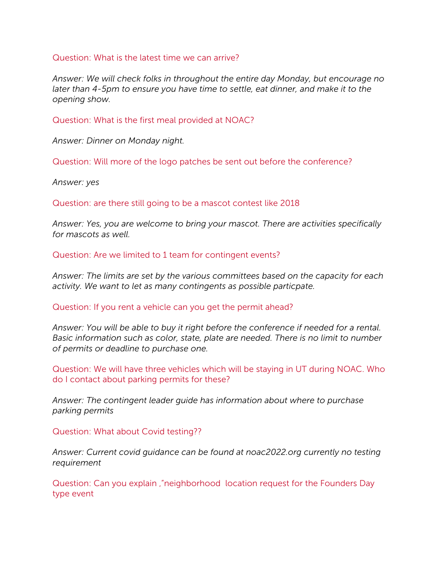Question: What is the latest time we can arrive?

*Answer: We will check folks in throughout the entire day Monday, but encourage no later than 4-5pm to ensure you have time to settle, eat dinner, and make it to the opening show.*

Question: What is the first meal provided at NOAC?

*Answer: Dinner on Monday night.*

Question: Will more of the logo patches be sent out before the conference?

*Answer: yes*

Question: are there still going to be a mascot contest like 2018

*Answer: Yes, you are welcome to bring your mascot. There are activities specifically for mascots as well.*

Question: Are we limited to 1 team for contingent events?

*Answer: The limits are set by the various committees based on the capacity for each activity. We want to let as many contingents as possible particpate.*

Question: If you rent a vehicle can you get the permit ahead?

*Answer: You will be able to buy it right before the conference if needed for a rental. Basic information such as color, state, plate are needed. There is no limit to number of permits or deadline to purchase one.* 

Question: We will have three vehicles which will be staying in UT during NOAC. Who do I contact about parking permits for these?

*Answer: The contingent leader guide has information about where to purchase parking permits*

Question: What about Covid testing??

*Answer: Current covid guidance can be found at noac2022.org currently no testing requirement*

Question: Can you explain '"neighborhood location request for the Founders Day type event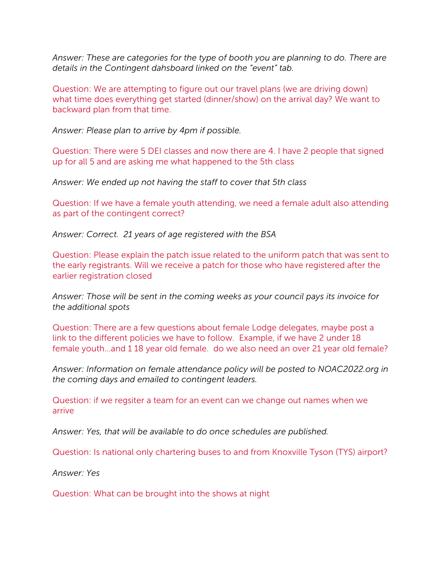*Answer: These are categories for the type of booth you are planning to do. There are details in the Contingent dahsboard linked on the "event" tab.*

Question: We are attempting to figure out our travel plans (we are driving down) what time does everything get started (dinner/show) on the arrival day? We want to backward plan from that time.

*Answer: Please plan to arrive by 4pm if possible.*

Question: There were 5 DEI classes and now there are 4. I have 2 people that signed up for all 5 and are asking me what happened to the 5th class

*Answer: We ended up not having the staff to cover that 5th class*

Question: If we have a female youth attending, we need a female adult also attending as part of the contingent correct?

*Answer: Correct. 21 years of age registered with the BSA*

Question: Please explain the patch issue related to the uniform patch that was sent to the early registrants. Will we receive a patch for those who have registered after the earlier registration closed

*Answer: Those will be sent in the coming weeks as your council pays its invoice for the additional spots*

Question: There are a few questions about female Lodge delegates, maybe post a link to the different policies we have to follow. Example, if we have 2 under 18 female youth...and 1 18 year old female. do we also need an over 21 year old female?

*Answer: Information on female attendance policy will be posted to NOAC2022.org in the coming days and emailed to contingent leaders.* 

Question: if we regsiter a team for an event can we change out names when we arrive

*Answer: Yes, that will be available to do once schedules are published.*

Question: Is national only chartering buses to and from Knoxville Tyson (TYS) airport?

*Answer: Yes*

Question: What can be brought into the shows at night